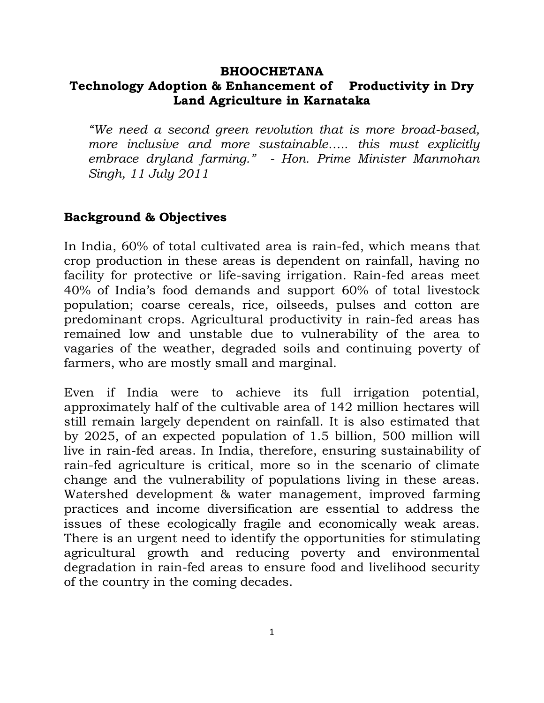#### **BHOOCHETANA**

# **Technology Adoption & Enhancement of Productivity in Dry Land Agriculture in Karnataka**

*"We need a second green revolution that is more broad-based, more inclusive and more sustainable….. this must explicitly embrace dryland farming." - Hon. Prime Minister Manmohan Singh, 11 July 2011*

### **Background & Objectives**

In India, 60% of total cultivated area is rain-fed, which means that crop production in these areas is dependent on rainfall, having no facility for protective or life-saving irrigation. Rain-fed areas meet 40% of India's food demands and support 60% of total livestock population; coarse cereals, rice, oilseeds, pulses and cotton are predominant crops. Agricultural productivity in rain-fed areas has remained low and unstable due to vulnerability of the area to vagaries of the weather, degraded soils and continuing poverty of farmers, who are mostly small and marginal.

Even if India were to achieve its full irrigation potential, approximately half of the cultivable area of 142 million hectares will still remain largely dependent on rainfall. It is also estimated that by 2025, of an expected population of 1.5 billion, 500 million will live in rain-fed areas. In India, therefore, ensuring sustainability of rain-fed agriculture is critical, more so in the scenario of climate change and the vulnerability of populations living in these areas. Watershed development & water management, improved farming practices and income diversification are essential to address the issues of these ecologically fragile and economically weak areas. There is an urgent need to identify the opportunities for stimulating agricultural growth and reducing poverty and environmental degradation in rain-fed areas to ensure food and livelihood security of the country in the coming decades.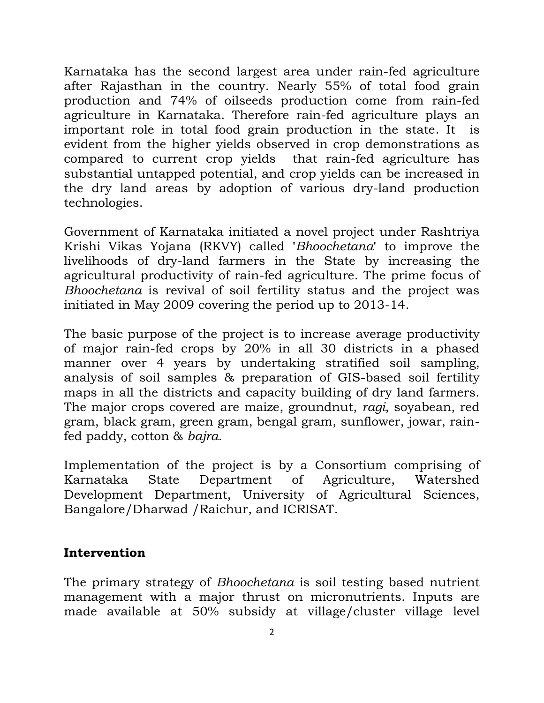Karnataka has the second largest area under rain-fed agriculture after Rajasthan in the country. Nearly 55% of total food grain production and 74% of oilseeds production come from rain-fed agriculture in Karnataka. Therefore rain-fed agriculture plays an important role in total food grain production in the state. It is evident from the higher yields observed in crop demonstrations as compared to current crop yields that rain-fed agriculture has substantial untapped potential, and crop yields can be increased in the dry land areas by adoption of various dry-land production technologies.

Government of Karnataka initiated a novel project under Rashtriya Krishi Vikas Yojana (RKVY) called **'***Bhoochetana***'** to improve the livelihoods of dry-land farmers in the State by increasing the agricultural productivity of rain-fed agriculture. The prime focus of *Bhoochetana* is revival of soil fertility status and the project was initiated in May 2009 covering the period up to 2013-14.

The basic purpose of the project is to increase average productivity of major rain-fed crops by 20% in all 30 districts in a phased manner over 4 years by undertaking stratified soil sampling, analysis of soil samples & preparation of GIS-based soil fertility maps in all the districts and capacity building of dry land farmers. The major crops covered are maize, groundnut, *ragi*, soyabean, red gram, black gram, green gram, bengal gram, sunflower, jowar, rainfed paddy, cotton & *bajra*.

Implementation of the project is by a Consortium comprising of Karnataka State Department of Agriculture, Watershed Development Department, University of Agricultural Sciences, Bangalore/Dharwad /Raichur, and ICRISAT.

# **Intervention**

The primary strategy of *Bhoochetana* is soil testing based nutrient management with a major thrust on micronutrients. Inputs are made available at 50% subsidy at village/cluster village level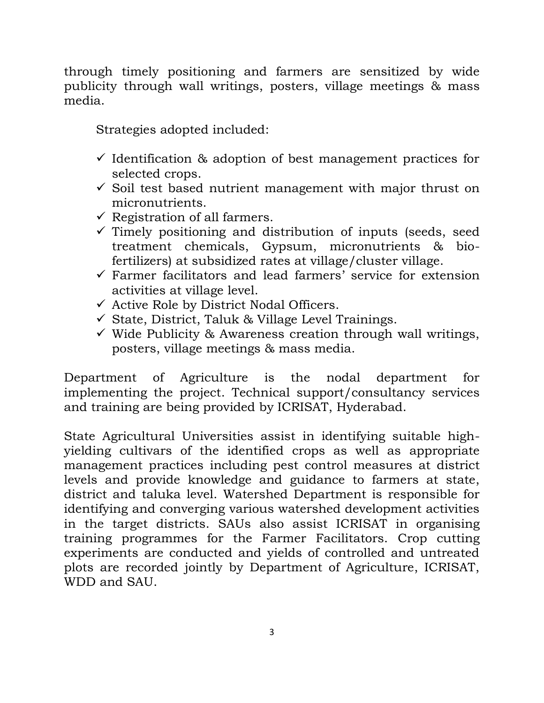through timely positioning and farmers are sensitized by wide publicity through wall writings, posters, village meetings & mass media.

Strategies adopted included:

- $\checkmark$  Identification & adoption of best management practices for selected crops.
- $\checkmark$  Soil test based nutrient management with major thrust on micronutrients.
- $\checkmark$  Registration of all farmers.
- $\checkmark$  Timely positioning and distribution of inputs (seeds, seed treatment chemicals, Gypsum, micronutrients & biofertilizers) at subsidized rates at village/cluster village.
- $\checkmark$  Farmer facilitators and lead farmers' service for extension activities at village level.
- $\checkmark$  Active Role by District Nodal Officers.
- $\checkmark$  State, District, Taluk & Village Level Trainings.
- $\checkmark$  Wide Publicity & Awareness creation through wall writings, posters, village meetings & mass media.

Department of Agriculture is the nodal department for implementing the project. Technical support/consultancy services and training are being provided by ICRISAT, Hyderabad.

State Agricultural Universities assist in identifying suitable highyielding cultivars of the identified crops as well as appropriate management practices including pest control measures at district levels and provide knowledge and guidance to farmers at state, district and taluka level. Watershed Department is responsible for identifying and converging various watershed development activities in the target districts. SAUs also assist ICRISAT in organising training programmes for the Farmer Facilitators. Crop cutting experiments are conducted and yields of controlled and untreated plots are recorded jointly by Department of Agriculture, ICRISAT, WDD and SAU.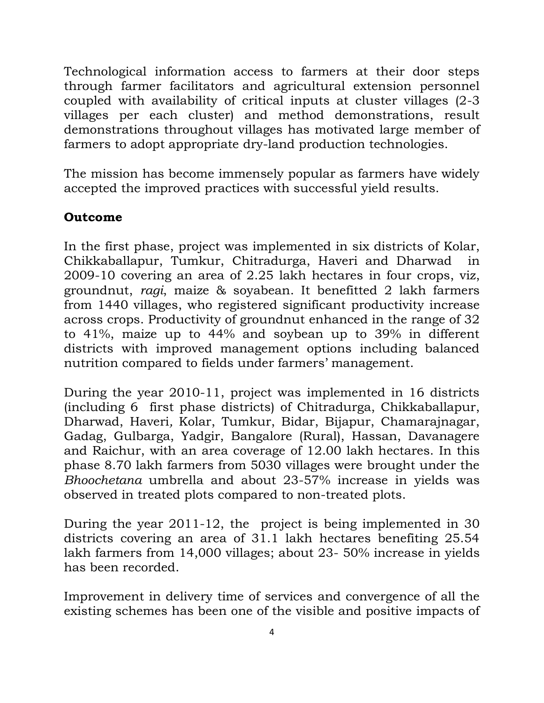Technological information access to farmers at their door steps through farmer facilitators and agricultural extension personnel coupled with availability of critical inputs at cluster villages (2-3 villages per each cluster) and method demonstrations, result demonstrations throughout villages has motivated large member of farmers to adopt appropriate dry-land production technologies.

The mission has become immensely popular as farmers have widely accepted the improved practices with successful yield results.

# **Outcome**

In the first phase, project was implemented in six districts of Kolar, Chikkaballapur, Tumkur, Chitradurga, Haveri and Dharwad in 2009-10 covering an area of 2.25 lakh hectares in four crops, viz, groundnut, *ragi*, maize & soyabean. It benefitted 2 lakh farmers from 1440 villages, who registered significant productivity increase across crops. Productivity of groundnut enhanced in the range of 32 to 41%, maize up to 44% and soybean up to 39% in different districts with improved management options including balanced nutrition compared to fields under farmers' management.

During the year 2010-11, project was implemented in 16 districts (including 6 first phase districts) of Chitradurga, Chikkaballapur, Dharwad, Haveri*,* Kolar, Tumkur, Bidar, Bijapur, Chamarajnagar, Gadag, Gulbarga, Yadgir, Bangalore (Rural), Hassan, Davanagere and Raichur, with an area coverage of 12.00 lakh hectares. In this phase 8.70 lakh farmers from 5030 villages were brought under the *Bhoochetana* umbrella and about 23-57% increase in yields was observed in treated plots compared to non-treated plots.

During the year 2011-12, the project is being implemented in 30 districts covering an area of 31.1 lakh hectares benefiting 25.54 lakh farmers from 14,000 villages; about 23- 50% increase in yields has been recorded.

Improvement in delivery time of services and convergence of all the existing schemes has been one of the visible and positive impacts of